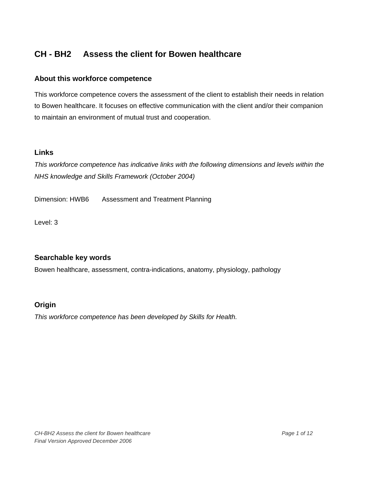### **About this workforce competence**

This workforce competence covers the assessment of the client to establish their needs in relation to Bowen healthcare. It focuses on effective communication with the client and/or their companion to maintain an environment of mutual trust and cooperation.

#### **Links**

*This workforce competence has indicative links with the following dimensions and levels within the NHS knowledge and Skills Framework (October 2004)* 

Dimension: HWB6 Assessment and Treatment Planning

Level: 3

# **Searchable key words**

Bowen healthcare, assessment, contra-indications, anatomy, physiology, pathology

# **Origin**

*This workforce competence has been developed by Skills for Health.*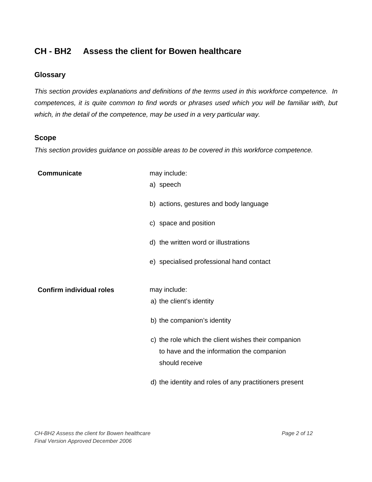# **Glossary**

*This section provides explanations and definitions of the terms used in this workforce competence. In competences, it is quite common to find words or phrases used which you will be familiar with, but which, in the detail of the competence, may be used in a very particular way.* 

#### **Scope**

*This section provides guidance on possible areas to be covered in this workforce competence.* 

| Communicate                     | may include:                                                |
|---------------------------------|-------------------------------------------------------------|
|                                 | a) speech                                                   |
|                                 | b) actions, gestures and body language                      |
|                                 | c) space and position                                       |
|                                 | d) the written word or illustrations                        |
|                                 | e) specialised professional hand contact                    |
| <b>Confirm individual roles</b> | may include:                                                |
|                                 | a) the client's identity                                    |
|                                 | b) the companion's identity                                 |
|                                 | c) the role which the client wishes their companion         |
|                                 | to have and the information the companion<br>should receive |
|                                 | d) the identity and roles of any practitioners present      |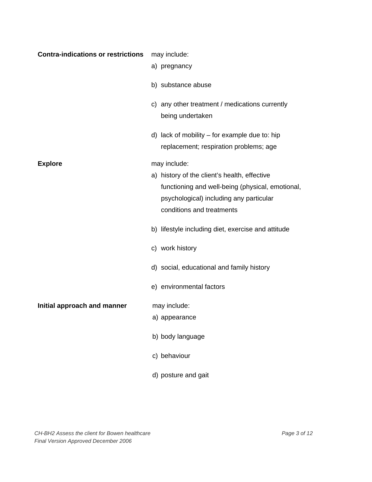| <b>Contra-indications or restrictions</b> | may include:                                                                                                                                                             |
|-------------------------------------------|--------------------------------------------------------------------------------------------------------------------------------------------------------------------------|
|                                           | a) pregnancy                                                                                                                                                             |
|                                           | b) substance abuse                                                                                                                                                       |
|                                           | c) any other treatment / medications currently<br>being undertaken                                                                                                       |
|                                           | d) lack of mobility - for example due to: hip<br>replacement; respiration problems; age                                                                                  |
| <b>Explore</b>                            | may include:                                                                                                                                                             |
|                                           | a) history of the client's health, effective<br>functioning and well-being (physical, emotional,<br>psychological) including any particular<br>conditions and treatments |
|                                           | b) lifestyle including diet, exercise and attitude                                                                                                                       |
|                                           | c) work history                                                                                                                                                          |
|                                           | d) social, educational and family history                                                                                                                                |
|                                           | e) environmental factors                                                                                                                                                 |
| Initial approach and manner               | may include:                                                                                                                                                             |
|                                           | a) appearance                                                                                                                                                            |
|                                           | b) body language                                                                                                                                                         |
|                                           | c) behaviour                                                                                                                                                             |
|                                           | d) posture and gait                                                                                                                                                      |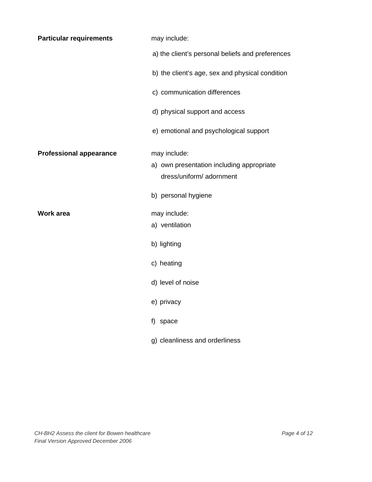| <b>Particular requirements</b> | may include:                                                                          |
|--------------------------------|---------------------------------------------------------------------------------------|
|                                | a) the client's personal beliefs and preferences                                      |
|                                | b) the client's age, sex and physical condition                                       |
|                                | c) communication differences                                                          |
|                                | d) physical support and access                                                        |
|                                | e) emotional and psychological support                                                |
| <b>Professional appearance</b> | may include:<br>a) own presentation including appropriate<br>dress/uniform/ adornment |
|                                | b) personal hygiene                                                                   |
| <b>Work area</b>               | may include:<br>a) ventilation                                                        |
|                                | b) lighting                                                                           |
|                                | c) heating                                                                            |
|                                | d) level of noise                                                                     |
|                                | e) privacy                                                                            |
|                                | f) space                                                                              |
|                                | g) cleanliness and orderliness                                                        |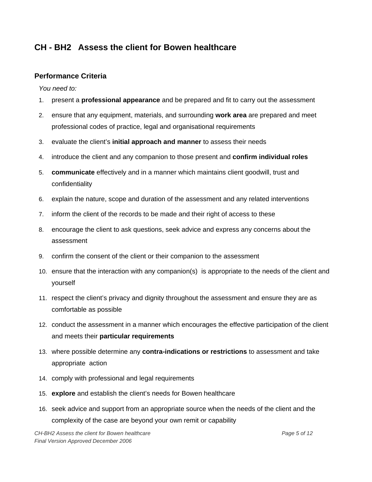### **Performance Criteria**

*You need to:* 

- 1. present a **professional appearance** and be prepared and fit to carry out the assessment
- 2. ensure that any equipment, materials, and surrounding **work area** are prepared and meet professional codes of practice, legal and organisational requirements
- 3. evaluate the client's **initial approach and manner** to assess their needs
- 4. introduce the client and any companion to those present and **confirm individual roles**
- 5. **communicate** effectively and in a manner which maintains client goodwill, trust and confidentiality
- 6. explain the nature, scope and duration of the assessment and any related interventions
- 7. inform the client of the records to be made and their right of access to these
- 8. encourage the client to ask questions, seek advice and express any concerns about the assessment
- 9. confirm the consent of the client or their companion to the assessment
- 10. ensure that the interaction with any companion(s) is appropriate to the needs of the client and yourself
- 11. respect the client's privacy and dignity throughout the assessment and ensure they are as comfortable as possible
- 12. conduct the assessment in a manner which encourages the effective participation of the client and meets their **particular requirements**
- 13. where possible determine any **contra-indications or restrictions** to assessment and take appropriate action
- 14. comply with professional and legal requirements
- 15. **explore** and establish the client's needs for Bowen healthcare
- 16. seek advice and support from an appropriate source when the needs of the client and the complexity of the case are beyond your own remit or capability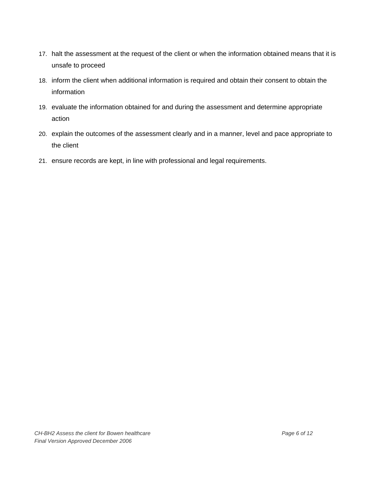- 17. halt the assessment at the request of the client or when the information obtained means that it is unsafe to proceed
- 18. inform the client when additional information is required and obtain their consent to obtain the information
- 19. evaluate the information obtained for and during the assessment and determine appropriate action
- 20. explain the outcomes of the assessment clearly and in a manner, level and pace appropriate to the client
- 21. ensure records are kept, in line with professional and legal requirements.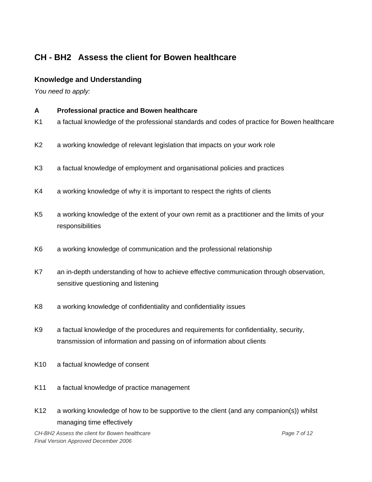### **Knowledge and Understanding**

*You need to apply:* 

- **A Professional practice and Bowen healthcare**  K1 a factual knowledge of the professional standards and codes of practice for Bowen healthcare K2 a working knowledge of relevant legislation that impacts on your work role K3 a factual knowledge of employment and organisational policies and practices K4 a working knowledge of why it is important to respect the rights of clients K5 a working knowledge of the extent of your own remit as a practitioner and the limits of your responsibilities K6 a working knowledge of communication and the professional relationship K7 an in-depth understanding of how to achieve effective communication through observation, sensitive questioning and listening K8 a working knowledge of confidentiality and confidentiality issues K9 a factual knowledge of the procedures and requirements for confidentiality, security, transmission of information and passing on of information about clients K10 a factual knowledge of consent K11 a factual knowledge of practice management
- K12 a working knowledge of how to be supportive to the client (and any companion(s)) whilst managing time effectively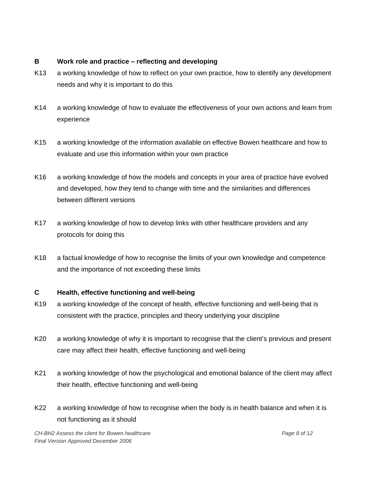#### **B Work role and practice – reflecting and developing**

- K13 a working knowledge of how to reflect on your own practice, how to identify any development needs and why it is important to do this
- K14 a working knowledge of how to evaluate the effectiveness of your own actions and learn from experience
- K15 a working knowledge of the information available on effective Bowen healthcare and how to evaluate and use this information within your own practice
- K16 a working knowledge of how the models and concepts in your area of practice have evolved and developed, how they tend to change with time and the similarities and differences between different versions
- K17 a working knowledge of how to develop links with other healthcare providers and any protocols for doing this
- K18 a factual knowledge of how to recognise the limits of your own knowledge and competence and the importance of not exceeding these limits

# **C Health, effective functioning and well-being**

- K19 a working knowledge of the concept of health, effective functioning and well-being that is consistent with the practice, principles and theory underlying your discipline
- K20 a working knowledge of why it is important to recognise that the client's previous and present care may affect their health, effective functioning and well-being
- K21 a working knowledge of how the psychological and emotional balance of the client may affect their health, effective functioning and well-being
- K22 a working knowledge of how to recognise when the body is in health balance and when it is not functioning as it should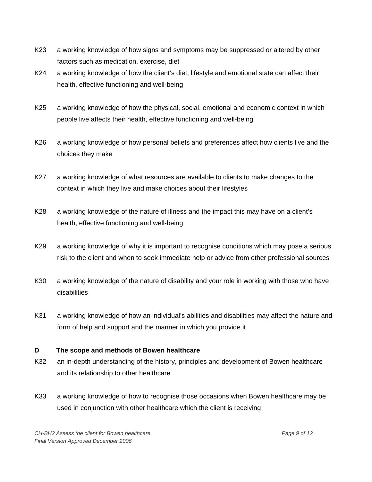- K23 a working knowledge of how signs and symptoms may be suppressed or altered by other factors such as medication, exercise, diet
- K24 a working knowledge of how the client's diet, lifestyle and emotional state can affect their health, effective functioning and well-being
- K25 a working knowledge of how the physical, social, emotional and economic context in which people live affects their health, effective functioning and well-being
- K26 a working knowledge of how personal beliefs and preferences affect how clients live and the choices they make
- K27 a working knowledge of what resources are available to clients to make changes to the context in which they live and make choices about their lifestyles
- K28 a working knowledge of the nature of illness and the impact this may have on a client's health, effective functioning and well-being
- K29 a working knowledge of why it is important to recognise conditions which may pose a serious risk to the client and when to seek immediate help or advice from other professional sources
- K30 a working knowledge of the nature of disability and your role in working with those who have disabilities
- K31 a working knowledge of how an individual's abilities and disabilities may affect the nature and form of help and support and the manner in which you provide it

#### **D The scope and methods of Bowen healthcare**

- K32 an in-depth understanding of the history, principles and development of Bowen healthcare and its relationship to other healthcare
- K33 a working knowledge of how to recognise those occasions when Bowen healthcare may be used in conjunction with other healthcare which the client is receiving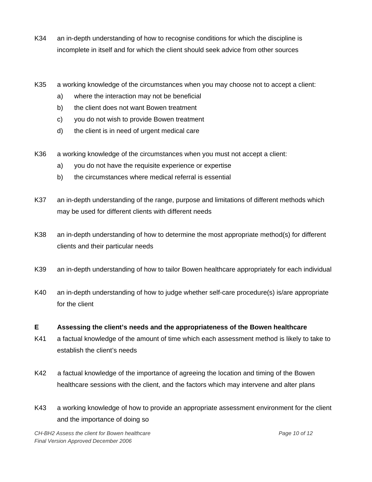- K34 an in-depth understanding of how to recognise conditions for which the discipline is incomplete in itself and for which the client should seek advice from other sources
- K35 a working knowledge of the circumstances when you may choose not to accept a client:
	- a) where the interaction may not be beneficial
	- b) the client does not want Bowen treatment
	- c) you do not wish to provide Bowen treatment
	- d) the client is in need of urgent medical care
- K36 a working knowledge of the circumstances when you must not accept a client:
	- a) you do not have the requisite experience or expertise
	- b) the circumstances where medical referral is essential
- K37 an in-depth understanding of the range, purpose and limitations of different methods which may be used for different clients with different needs
- K38 an in-depth understanding of how to determine the most appropriate method(s) for different clients and their particular needs
- K39 an in-depth understanding of how to tailor Bowen healthcare appropriately for each individual
- K40 an in-depth understanding of how to judge whether self-care procedure(s) is/are appropriate for the client

#### **E Assessing the client's needs and the appropriateness of the Bowen healthcare**

- K41 a factual knowledge of the amount of time which each assessment method is likely to take to establish the client's needs
- K42 a factual knowledge of the importance of agreeing the location and timing of the Bowen healthcare sessions with the client, and the factors which may intervene and alter plans
- K43 a working knowledge of how to provide an appropriate assessment environment for the client and the importance of doing so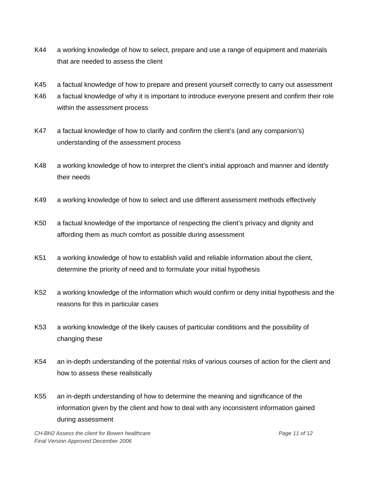- K44 a working knowledge of how to select, prepare and use a range of equipment and materials that are needed to assess the client
- K45 a factual knowledge of how to prepare and present yourself correctly to carry out assessment
- K46 a factual knowledge of why it is important to introduce everyone present and confirm their role within the assessment process
- K47 a factual knowledge of how to clarify and confirm the client's (and any companion's) understanding of the assessment process
- K48 a working knowledge of how to interpret the client's initial approach and manner and identify their needs
- K49 a working knowledge of how to select and use different assessment methods effectively
- K50 a factual knowledge of the importance of respecting the client's privacy and dignity and affording them as much comfort as possible during assessment
- K51 a working knowledge of how to establish valid and reliable information about the client, determine the priority of need and to formulate your initial hypothesis
- K52 a working knowledge of the information which would confirm or deny initial hypothesis and the reasons for this in particular cases
- K53 a working knowledge of the likely causes of particular conditions and the possibility of changing these
- K54 an in-depth understanding of the potential risks of various courses of action for the client and how to assess these realistically
- K55 an in-depth understanding of how to determine the meaning and significance of the information given by the client and how to deal with any inconsistent information gained during assessment